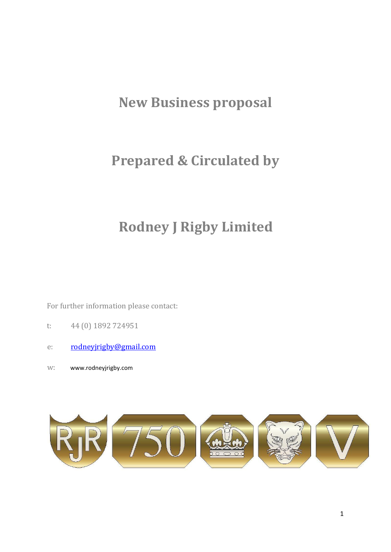# **New Business proposal**

# **Prepared & Circulated by**

# **Rodney J Rigby Limited**

For further information please contact:

- t: 44 (0) 1892 724951
- e: rodneyjrigby@gmail.com
- w: [www.rodneyjrigby.com](http://www.rodneyjrigby.com/)

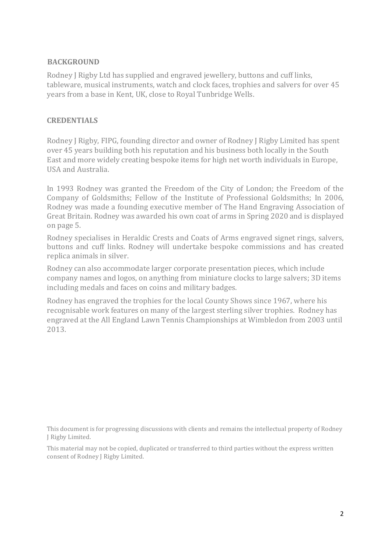#### **BACKGROUND**

Rodney J Rigby Ltd has supplied and engraved jewellery, buttons and cuff links, tableware, musical instruments, watch and clock faces, trophies and salvers for over 45 years from a base in Kent, UK, close to Royal Tunbridge Wells.

#### **CREDENTIALS**

Rodney J Rigby, FIPG, founding director and owner of Rodney J Rigby Limited has spent over 45 years building both his reputation and his business both locally in the South East and more widely creating bespoke items for high net worth individuals in Europe, USA and Australia.

In 1993 Rodney was granted the Freedom of the City of London; the Freedom of the Company of Goldsmiths; Fellow of the Institute of Professional Goldsmiths; In 2006, Rodney was made a founding executive member of The Hand Engraving Association of Great Britain. Rodney was awarded his own coat of arms in Spring 2020 and is displayed on page 5.

Rodney specialises in Heraldic Crests and Coats of Arms engraved signet rings, salvers, buttons and cuff links. Rodney will undertake bespoke commissions and has created replica animals in silver.

Rodney can also accommodate larger corporate presentation pieces, which include company names and logos, on anything from miniature clocks to large salvers; 3D items including medals and faces on coins and military badges.

Rodney has engraved the trophies for the local County Shows since 1967, where his recognisable work features on many of the largest sterling silver trophies. Rodney has engraved at the All England Lawn Tennis Championships at Wimbledon from 2003 until 2013.

This document is for progressing discussions with clients and remains the intellectual property of Rodney J Rigby Limited.

This material may not be copied, duplicated or transferred to third parties without the express written consent of Rodney J Rigby Limited.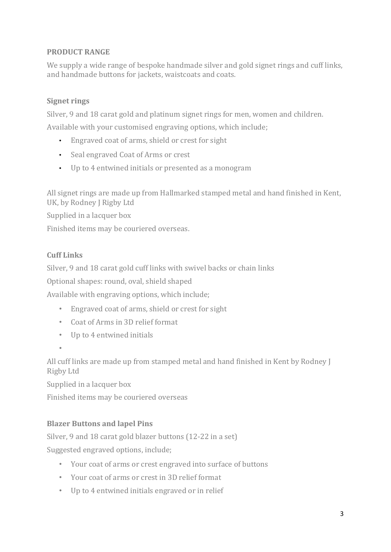# **PRODUCT RANGE**

We supply a wide range of bespoke handmade silver and gold signet rings and cuff links, and handmade buttons for jackets, waistcoats and coats.

### **Signet rings**

Silver, 9 and 18 carat gold and platinum signet rings for men, women and children.

Available with your customised engraving options, which include;

- Engraved coat of arms, shield or crest for sight
- Seal engraved Coat of Arms or crest
- Up to 4 entwined initials or presented as a monogram

All signet rings are made up from Hallmarked stamped metal and hand finished in Kent, UK, by Rodney J Rigby Ltd

Supplied in a lacquer box

Finished items may be couriered overseas.

### **Cuff Links**

Silver, 9 and 18 carat gold cuff links with swivel backs or chain links

Optional shapes: round, oval, shield shaped

Available with engraving options, which include;

- Engraved coat of arms, shield or crest for sight
- Coat of Arms in 3D relief format
- Up to 4 entwined initials
- •

All cuff links are made up from stamped metal and hand finished in Kent by Rodney J Rigby Ltd

Supplied in a lacquer box

Finished items may be couriered overseas

# **Blazer Buttons and lapel Pins**

Silver, 9 and 18 carat gold blazer buttons (12-22 in a set) Suggested engraved options, include;

- Your coat of arms or crest engraved into surface of buttons
- Your coat of arms or crest in 3D relief format
- Up to 4 entwined initials engraved or in relief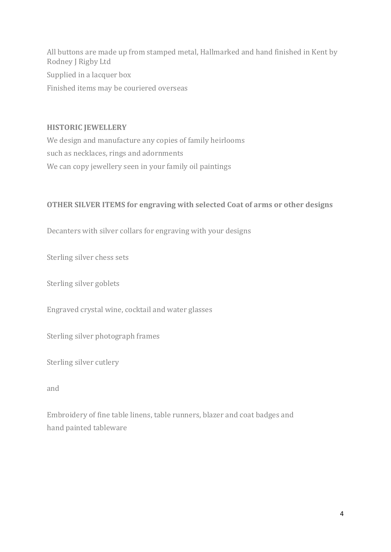All buttons are made up from stamped metal, Hallmarked and hand finished in Kent by Rodney J Rigby Ltd Supplied in a lacquer box Finished items may be couriered overseas

#### **HISTORIC JEWELLERY**

We design and manufacture any copies of family heirlooms such as necklaces, rings and adornments We can copy jewellery seen in your family oil paintings

#### **OTHER SILVER ITEMS for engraving with selected Coat of arms or other designs**

Decanters with silver collars for engraving with your designs

Sterling silver chess sets

Sterling silver goblets

Engraved crystal wine, cocktail and water glasses

Sterling silver photograph frames

Sterling silver cutlery

and

Embroidery of fine table linens, table runners, blazer and coat badges and hand painted tableware